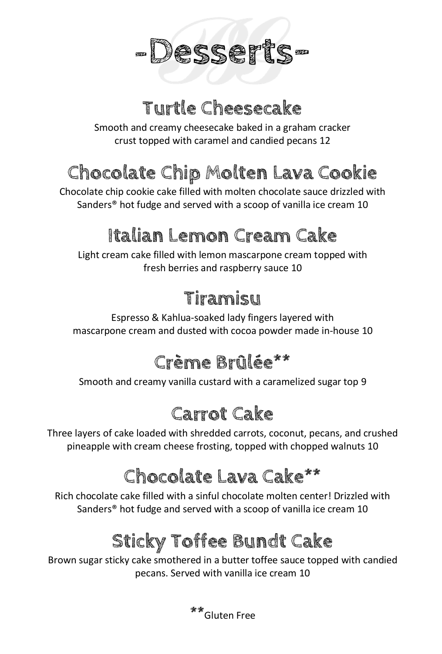

## **Turtle Cheesecake**

Smooth and creamy cheesecake baked in a graham cracker crust topped with caramel and candied pecans 12

# **Chocolate Chip Molten Lava Cookie**

Chocolate chip cookie cake filled with molten chocolate sauce drizzled with Sanders® hot fudge and served with a scoop of vanilla ice cream 10

# **Italian Lemon Cream Cake**

Light cream cake filled with lemon mascarpone cream topped with fresh berries and raspberry sauce 10

# **Tiramisu**

Espresso & Kahlua-soaked lady fingers layered with mascarpone cream and dusted with cocoa powder made in-house 10

# **Crème Brûlée\*\***

Smooth and creamy vanilla custard with a caramelized sugar top 9

# **Carrot Cake**

Three layers of cake loaded with shredded carrots, coconut, pecans, and crushed pineapple with cream cheese frosting, topped with chopped walnuts 10

# **Chocolate Lava Cake\*\***

Rich chocolate cake filled with a sinful chocolate molten center! Drizzled with Sanders® hot fudge and served with a scoop of vanilla ice cream 10

# **Sticky Toffee Bundt Cake**

Brown sugar sticky cake smothered in a butter toffee sauce topped with candied pecans. Served with vanilla ice cream 10